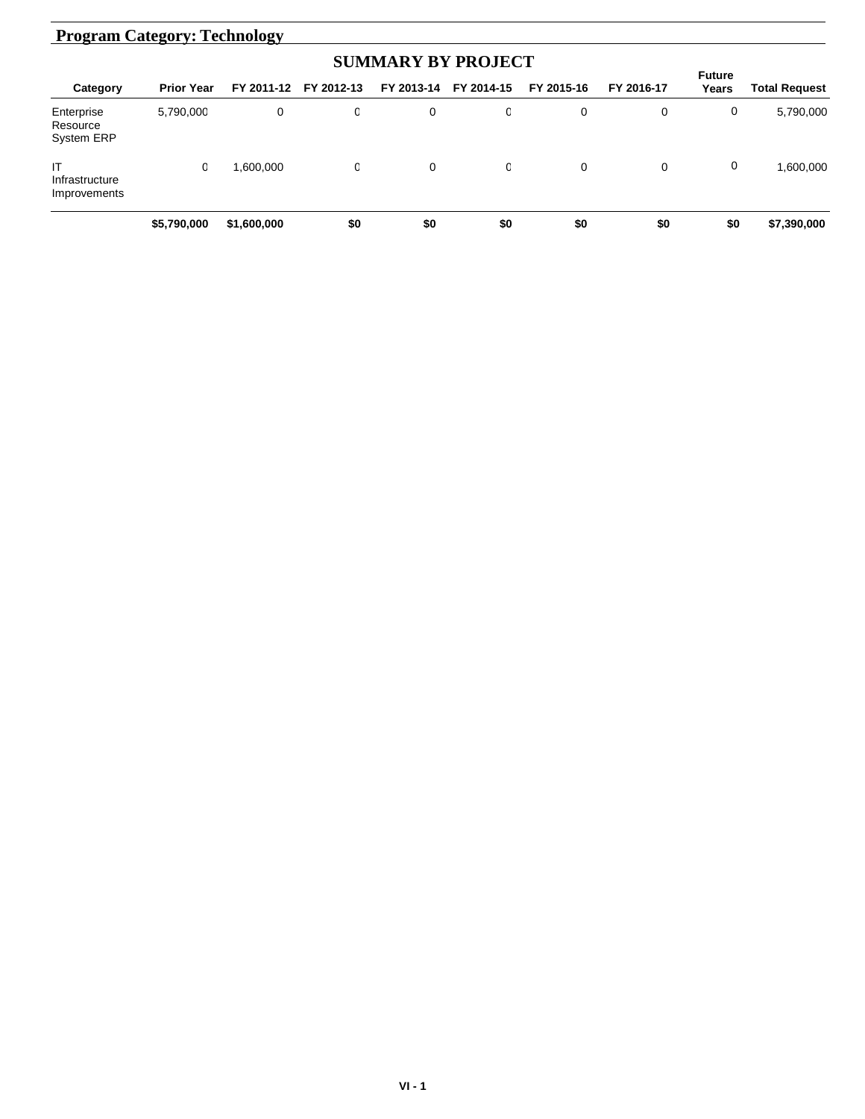| <b>Program Category: Technology</b>         |                   |             |            |            |            |            |             |                        |                      |  |
|---------------------------------------------|-------------------|-------------|------------|------------|------------|------------|-------------|------------------------|----------------------|--|
|                                             |                   |             |            |            |            |            |             |                        |                      |  |
| Category                                    | <b>Prior Year</b> | FY 2011-12  | FY 2012-13 | FY 2013-14 | FY 2014-15 | FY 2015-16 | FY 2016-17  | <b>Future</b><br>Years | <b>Total Request</b> |  |
| Enterprise<br>Resource<br><b>System ERP</b> | 5,790,000         | 0           | 0          | 0          | 0          | 0          | 0           | 0                      | 5,790,000            |  |
| IT<br>Infrastructure<br>Improvements        | 0                 | 1.600.000   | 0          | 0          | 0          | 0          | $\mathbf 0$ | 0                      | 1.600.000            |  |
|                                             | \$5,790,000       | \$1,600,000 | \$0        | \$0        | \$0        | \$0        | \$0         | \$0                    | \$7,390,000          |  |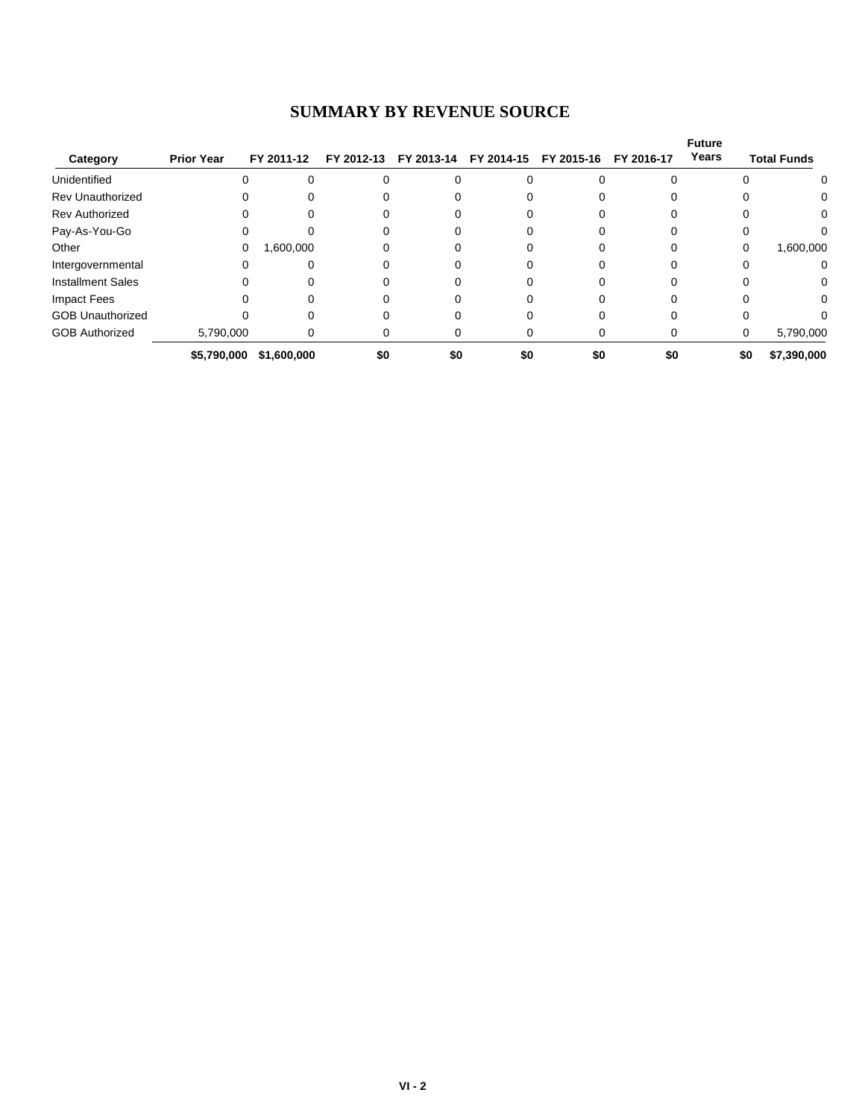## **SUMMARY BY REVENUE SOURCE**

| Category                 | <b>Prior Year</b> | FY 2011-12  |     | FY 2012-13 FY 2013-14 | FY 2014-15 | FY 2015-16 | FY 2016-17 | <b>Future</b><br>Years | <b>Total Funds</b> |
|--------------------------|-------------------|-------------|-----|-----------------------|------------|------------|------------|------------------------|--------------------|
|                          |                   |             |     |                       |            |            |            |                        |                    |
| Unidentified             | $\Omega$          |             |     |                       |            |            |            |                        | 0                  |
| <b>Rev Unauthorized</b>  |                   |             |     |                       |            |            |            |                        | 0                  |
| <b>Rev Authorized</b>    | 0                 | 0           |     |                       |            |            |            |                        | 0                  |
| Pay-As-You-Go            | 0                 |             |     |                       |            |            |            |                        | 0                  |
| Other                    | 0                 | 1,600,000   |     |                       |            |            |            |                        | 1,600,000<br>0     |
| Intergovernmental        | 0                 |             |     |                       |            |            |            |                        | 0                  |
| <b>Installment Sales</b> | 0                 |             |     |                       |            |            |            |                        | 0                  |
| <b>Impact Fees</b>       | O                 | 0           |     |                       |            |            |            |                        | $\Omega$           |
| <b>GOB Unauthorized</b>  |                   |             |     |                       |            |            |            |                        | 0                  |
| <b>GOB Authorized</b>    | 5,790,000         | 0           | 0   |                       |            |            |            |                        | 5,790,000<br>0     |
|                          | \$5,790,000       | \$1,600,000 | \$0 | \$0                   | \$0        | \$0        | \$0        |                        | \$0<br>\$7,390,000 |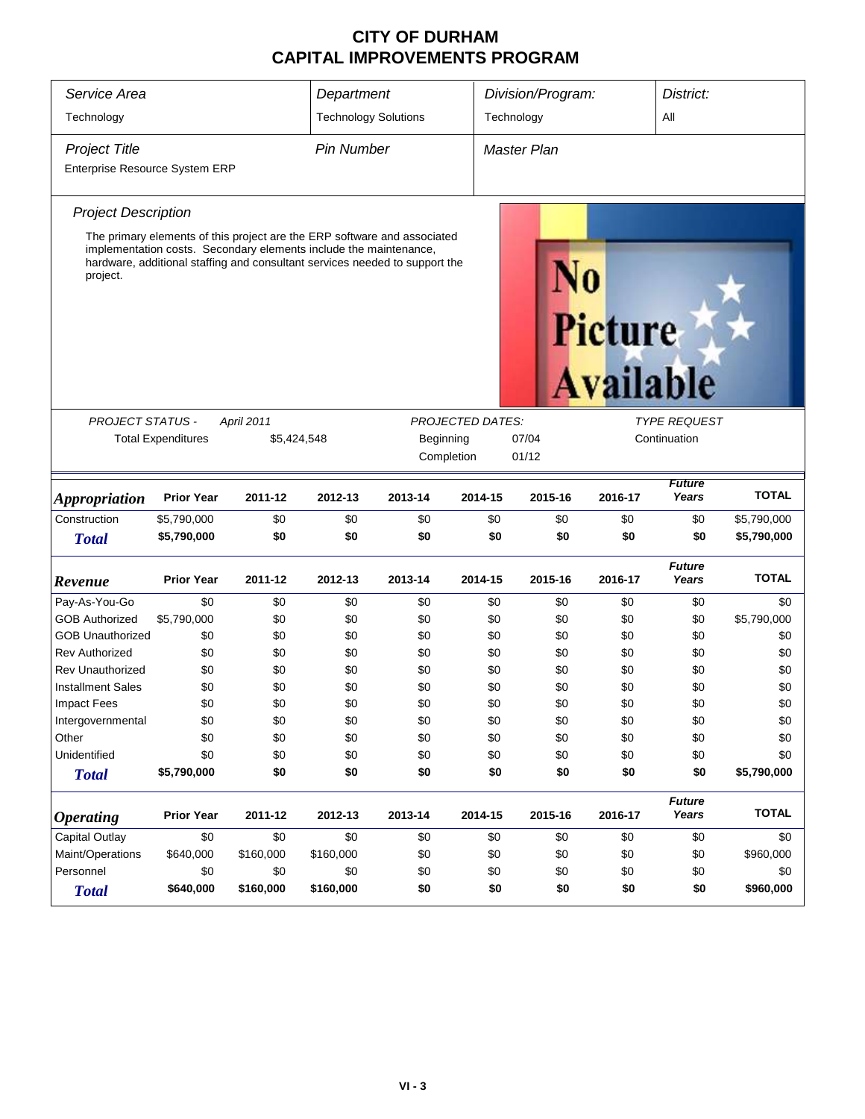## **CITY OF DURHAM CAPITAL IMPROVEMENTS PROGRAM**

| Service Area                   | Department                  |                                                                   |            | Division/Program:                                                                                                                                       |                         |              | District:                   |                        |              |  |  |
|--------------------------------|-----------------------------|-------------------------------------------------------------------|------------|---------------------------------------------------------------------------------------------------------------------------------------------------------|-------------------------|--------------|-----------------------------|------------------------|--------------|--|--|
| Technology                     | <b>Technology Solutions</b> |                                                                   |            | Technology                                                                                                                                              |                         |              |                             |                        |              |  |  |
| <b>Project Title</b>           | <b>Pin Number</b>           |                                                                   |            | Master Plan                                                                                                                                             |                         |              |                             |                        |              |  |  |
| Enterprise Resource System ERP |                             |                                                                   |            |                                                                                                                                                         |                         |              |                             |                        |              |  |  |
| <b>Project Description</b>     |                             |                                                                   |            |                                                                                                                                                         |                         |              |                             |                        |              |  |  |
| project.                       |                             | implementation costs. Secondary elements include the maintenance, |            | The primary elements of this project are the ERP software and associated<br>hardware, additional staffing and consultant services needed to support the |                         |              | Picture<br><b>Available</b> |                        |              |  |  |
| <b>PROJECT STATUS -</b>        |                             | <b>April 2011</b>                                                 |            |                                                                                                                                                         | <b>PROJECTED DATES:</b> |              |                             | <b>TYPE REQUEST</b>    |              |  |  |
| <b>Total Expenditures</b>      | \$5,424,548                 | Beginning                                                         |            | 07/04                                                                                                                                                   |                         | Continuation |                             |                        |              |  |  |
|                                |                             |                                                                   | Completion | 01/12                                                                                                                                                   |                         |              |                             |                        |              |  |  |
|                                |                             |                                                                   |            |                                                                                                                                                         |                         |              |                             |                        |              |  |  |
| <i><b>Appropriation</b></i>    | <b>Prior Year</b>           | 2011-12                                                           | 2012-13    | 2013-14                                                                                                                                                 | 2014-15                 | 2015-16      | 2016-17                     | <b>Future</b><br>Years | <b>TOTAL</b> |  |  |
| Construction                   | \$5,790,000                 | \$0                                                               | \$0        | \$0                                                                                                                                                     | \$0                     | \$0          | \$0                         | \$0                    | \$5,790,000  |  |  |
| <b>Total</b>                   | \$5,790,000                 | \$0                                                               | \$0        | \$0                                                                                                                                                     | \$0                     | \$0          | \$0                         | \$0                    | \$5,790,000  |  |  |
| Revenue                        | <b>Prior Year</b>           | 2011-12                                                           | 2012-13    | 2013-14                                                                                                                                                 | 2014-15                 | 2015-16      | 2016-17                     | <b>Future</b><br>Years | <b>TOTAL</b> |  |  |
| Pay-As-You-Go                  | \$0                         | \$0                                                               | \$0        | \$0                                                                                                                                                     | \$0                     | \$0          | \$0                         | \$0                    | \$0          |  |  |
| <b>GOB Authorized</b>          | \$5,790,000                 | \$0                                                               | \$0        | \$0                                                                                                                                                     | \$0                     | \$0          | \$0                         | \$0                    | \$5,790,000  |  |  |
| <b>GOB Unauthorized</b>        | \$0                         | \$0                                                               | \$0        | \$0                                                                                                                                                     | \$0                     | \$0          | \$0                         | \$0                    | \$0          |  |  |
| <b>Rev Authorized</b>          | \$0                         | \$0                                                               | \$0        | \$0                                                                                                                                                     | \$0                     | \$0          | \$0                         | \$0                    | \$0          |  |  |
| <b>Rev Unauthorized</b>        | \$0                         | \$0                                                               | \$0        | \$0                                                                                                                                                     | \$0                     | \$0          | \$0                         | \$0                    | \$0          |  |  |
| <b>Installment Sales</b>       | \$0                         | \$0                                                               | \$0        | \$0                                                                                                                                                     | \$0                     | \$0          | \$0                         | \$0                    | \$0          |  |  |
| Impact Fees                    | \$0                         | \$0                                                               | \$0        | \$0                                                                                                                                                     | \$0                     | \$0          | \$0                         | \$0                    | \$0          |  |  |
| Intergovernmental              | \$0                         | \$0                                                               | \$0        | \$0                                                                                                                                                     | \$0                     | \$0          | \$0                         | \$0                    | \$0          |  |  |
| Other                          | \$0                         | \$0                                                               | \$0        | \$0                                                                                                                                                     | \$0                     | \$0          | \$0                         | \$0                    | \$0          |  |  |
| Unidentified                   | \$0                         | \$0                                                               | \$0        | \$0                                                                                                                                                     | \$0                     | \$0          | \$0                         | \$0                    | \$0          |  |  |
| <b>Total</b>                   | \$5,790,000                 | \$0                                                               | \$0        | \$0                                                                                                                                                     | \$0                     | \$0          | \$0                         | \$0                    | \$5,790,000  |  |  |
| <b>Operating</b>               | <b>Prior Year</b>           | 2011-12                                                           | 2012-13    | 2013-14                                                                                                                                                 | 2014-15                 | 2015-16      | 2016-17                     | <b>Future</b><br>Years | <b>TOTAL</b> |  |  |
| <b>Capital Outlay</b>          | \$0                         | \$0                                                               | \$0        | \$0                                                                                                                                                     | \$0                     | \$0          | \$0                         | \$0                    | \$0          |  |  |
| Maint/Operations               | \$640,000                   | \$160,000                                                         | \$160,000  | \$0                                                                                                                                                     | \$0                     | \$0          | \$0                         | \$0                    | \$960,000    |  |  |
| Personnel                      | \$0                         | \$0                                                               | \$0        | \$0                                                                                                                                                     | \$0                     | \$0          | \$0                         | \$0                    | \$0          |  |  |
| <b>Total</b>                   | \$640,000                   | \$160,000                                                         | \$160,000  | \$0                                                                                                                                                     | \$0                     | \$0          | \$0                         | \$0                    | \$960,000    |  |  |